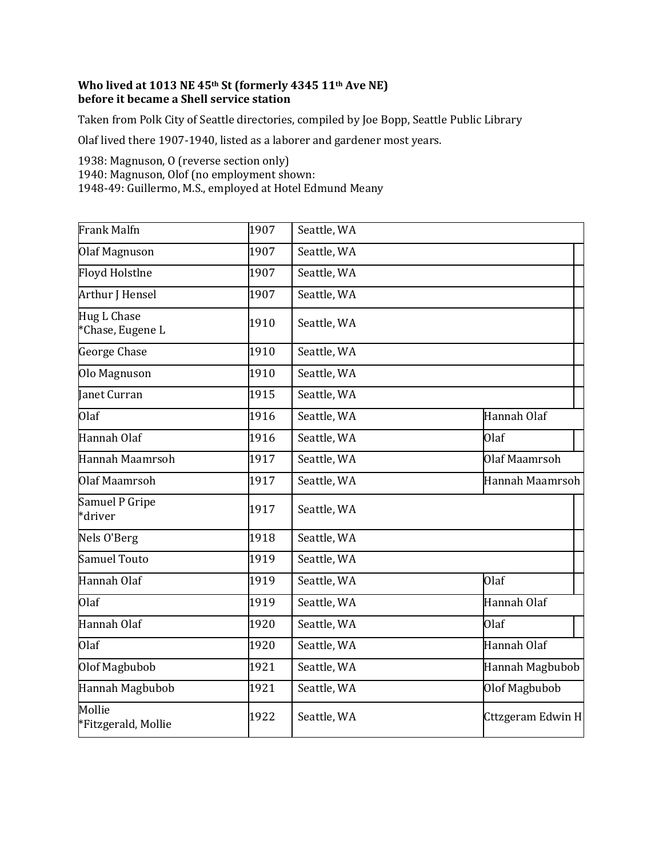## **Who lived at 1013 NE 45th St (formerly 4345 11th Ave NE) before it became a Shell service station**

Taken from Polk City of Seattle directories, compiled by Joe Bopp, Seattle Public Library

Olaf lived there 1907-1940, listed as a laborer and gardener most years.

1938: Magnuson, O (reverse section only)

1940: Magnuson, Olof (no employment shown:

1948-49: Guillermo, M.S., employed at Hotel Edmund Meany

| Frank Malfn                     | 1907 | Seattle, WA |                   |
|---------------------------------|------|-------------|-------------------|
| Olaf Magnuson                   | 1907 | Seattle, WA |                   |
| Floyd Holstlne                  | 1907 | Seattle, WA |                   |
| Arthur J Hensel                 | 1907 | Seattle, WA |                   |
| Hug L Chase<br>*Chase, Eugene L | 1910 | Seattle, WA |                   |
| George Chase                    | 1910 | Seattle, WA |                   |
| Olo Magnuson                    | 1910 | Seattle, WA |                   |
| Janet Curran                    | 1915 | Seattle, WA |                   |
| Olaf                            | 1916 | Seattle, WA | Hannah Olaf       |
| Hannah Olaf                     | 1916 | Seattle, WA | <b>Olaf</b>       |
| Hannah Maamrsoh                 | 1917 | Seattle, WA | Olaf Maamrsoh     |
| Olaf Maamrsoh                   | 1917 | Seattle, WA | Hannah Maamrsoh   |
| Samuel P Gripe<br>*driver       | 1917 | Seattle, WA |                   |
| Nels O'Berg                     | 1918 | Seattle, WA |                   |
| Samuel Touto                    | 1919 | Seattle, WA |                   |
| Hannah Olaf                     | 1919 | Seattle, WA | Olaf              |
| Olaf                            | 1919 | Seattle, WA | Hannah Olaf       |
| Hannah Olaf                     | 1920 | Seattle, WA | Olaf              |
| Olaf                            | 1920 | Seattle, WA | Hannah Olaf       |
| Olof Magbubob                   | 1921 | Seattle, WA | Hannah Magbubob   |
| Hannah Magbubob                 | 1921 | Seattle, WA | Olof Magbubob     |
| Mollie<br>*Fitzgerald, Mollie   | 1922 | Seattle, WA | Cttzgeram Edwin H |